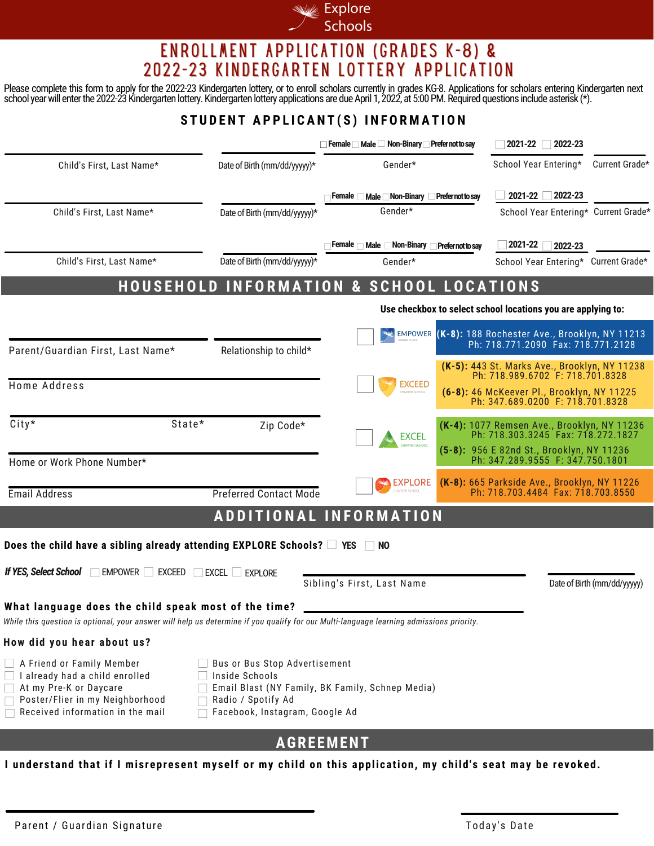

### ENROLLMENT APPLICATION (GRADES K-8) & 2022-23 KINDERGARTEN LOTTERY APPLICATION

Please complete this form to apply for the 2022-23 Kindergarten lottery, or to enroll scholars currently in grades KG-8. Applications for scholars entering Kindergarten next school year will enter the 2022-23 Kindergarten lottery. Kindergarten lottery applications are due April 1, 2022, at 5:00 PM. Required questions include asterisk (\*).

### STUDENT APPLICANT(S) INFORMATION

|                                                                                                                                                                                                 |                                                                                                         | Female Male Non-Binary Prefer not to say            |                   | 2021-22<br>2022-23                                                                          |                             |
|-------------------------------------------------------------------------------------------------------------------------------------------------------------------------------------------------|---------------------------------------------------------------------------------------------------------|-----------------------------------------------------|-------------------|---------------------------------------------------------------------------------------------|-----------------------------|
| Child's First, Last Name*                                                                                                                                                                       | Date of Birth (mm/dd/yyyyy)*                                                                            | Gender*                                             |                   | School Year Entering*                                                                       | Current Grade*              |
|                                                                                                                                                                                                 |                                                                                                         | Female Male Non-Binary                              | Prefer not to say | 2021-22<br>2022-23                                                                          |                             |
| Child's First. Last Name*                                                                                                                                                                       | Date of Birth (mm/dd/yyyyy)*                                                                            | Gender*                                             |                   | School Year Entering* Current Grade*                                                        |                             |
|                                                                                                                                                                                                 |                                                                                                         | Female<br>Male $\Box$ Non-Binary                    | Prefer not to sav | 2021-22<br>2022-23                                                                          |                             |
| Child's First, Last Name*                                                                                                                                                                       | Date of Birth (mm/dd/yyyyy)*                                                                            | Gender*                                             |                   | School Year Entering* Current Grade*                                                        |                             |
|                                                                                                                                                                                                 |                                                                                                         | <b>HOUSEHOLD INFORMATION &amp; SCHOOL LOCATIONS</b> |                   |                                                                                             |                             |
|                                                                                                                                                                                                 | Use checkbox to select school locations you are applying to:                                            |                                                     |                   |                                                                                             |                             |
| Parent/Guardian First, Last Name*                                                                                                                                                               | Relationship to child*                                                                                  |                                                     |                   | EMPOWER (K-8): 188 Rochester Ave., Brooklyn, NY 11213<br>Ph: 718.771.2090 Fax: 718.771.2128 |                             |
| Home Address                                                                                                                                                                                    |                                                                                                         | <b>EXCEED</b>                                       |                   | (K-5): 443 St. Marks Ave., Brooklyn, NY 11238<br>Ph: 718.989.6702 F: 718.701.8328           |                             |
|                                                                                                                                                                                                 |                                                                                                         |                                                     |                   | (6-8): 46 McKeever Pl., Brooklyn, NY 11225<br>Ph: 347.689.0200 F: 718.701.8328              |                             |
| City*<br>State*                                                                                                                                                                                 | Zip Code*                                                                                               | <b>EXCEL</b><br>CHARTER SCHOOL                      |                   | (K-4): 1077 Remsen Ave., Brooklyn, NY 11236<br>Ph: 718.303.3245 Fax: 718.272.1827           |                             |
| Home or Work Phone Number*                                                                                                                                                                      |                                                                                                         |                                                     |                   | (5-8): 956 E 82nd St., Brooklyn, NY 11236<br>Ph: 347.289.9555 F: 347.750.1801               |                             |
|                                                                                                                                                                                                 |                                                                                                         | <b>EXPLORE</b><br><b>HARTER SCHOOL</b>              |                   | (K-8): 665 Parkside Ave., Brooklyn, NY 11226                                                |                             |
| <b>Email Address</b>                                                                                                                                                                            | <b>Preferred Contact Mode</b>                                                                           |                                                     |                   | Ph: 718.703.4484 Fax: 718.703.8550                                                          |                             |
|                                                                                                                                                                                                 |                                                                                                         | <b>ADDITIONAL INFORMATION</b>                       |                   |                                                                                             |                             |
| Does the child have a sibling already attending EXPLORE Schools? $\Box$ YES                                                                                                                     |                                                                                                         | <b>NO</b>                                           |                   |                                                                                             |                             |
| <b>If YES, Select School</b><br>EMPOWER EXCEED                                                                                                                                                  | EXCEL EXPLORE                                                                                           |                                                     |                   |                                                                                             |                             |
|                                                                                                                                                                                                 |                                                                                                         | Sibling's First, Last Name                          |                   |                                                                                             | Date of Birth (mm/dd/yyyyy) |
| What language does the child speak most of the time?<br>While this question is optional, your answer will help us determine if you qualify for our Multi-language learning admissions priority. |                                                                                                         |                                                     |                   |                                                                                             |                             |
| How did you hear about us?                                                                                                                                                                      |                                                                                                         |                                                     |                   |                                                                                             |                             |
| A Friend or Family Member<br>I already had a child enrolled<br>At my Pre-K or Daycare<br>Poster/Flier in my Neighborhood<br>Received information in the mail                                    | Bus or Bus Stop Advertisement<br>Inside Schools<br>Radio / Spotify Ad<br>Facebook, Instagram, Google Ad | Email Blast (NY Family, BK Family, Schnep Media)    |                   |                                                                                             |                             |
| <b>AGREEMENT</b>                                                                                                                                                                                |                                                                                                         |                                                     |                   |                                                                                             |                             |

I understand that if I misrepresent myself or my child on this application, my child's seat may be revoked.

Parent / Guardian Signature The Today's Date of Today's Date